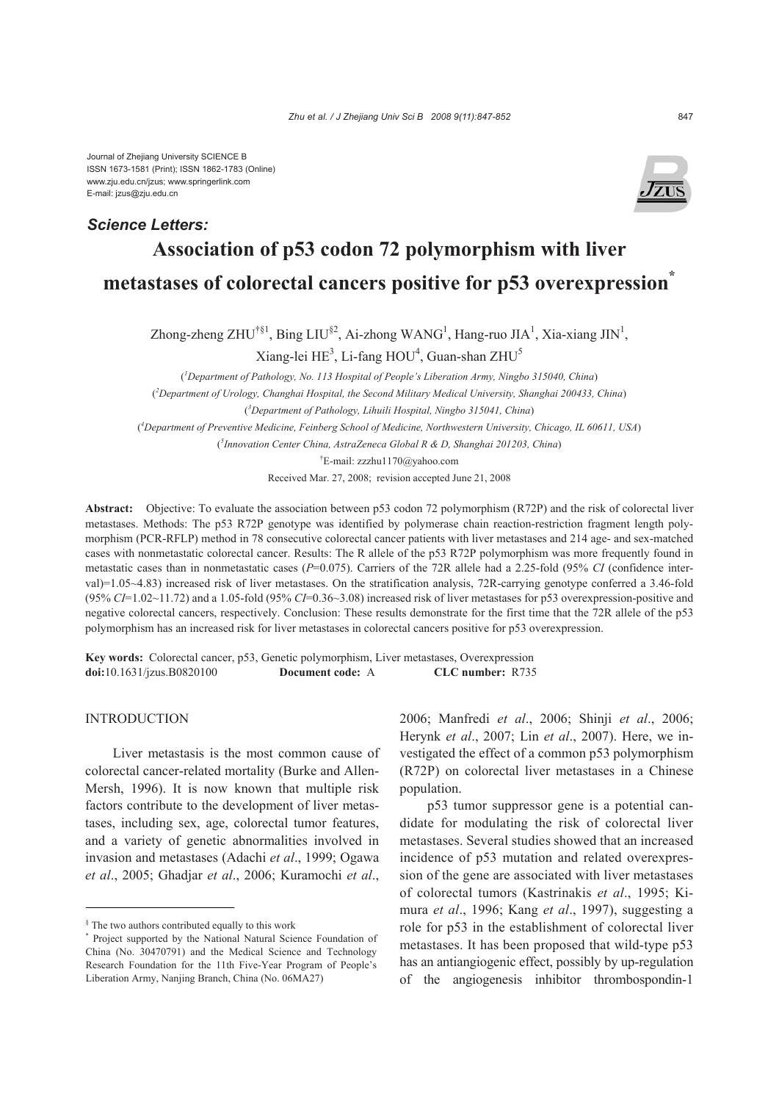Journal of Zhejiang University SCIENCE B ISSN 1673-1581 (Print); ISSN 1862-1783 (Online) www.zju.edu.cn/jzus; www.springerlink.com E-mail: jzus@zju.edu.cn

## *Science Letters:*



# **Association of p53 codon 72 polymorphism with liver metastases of colorectal cancers positive for p53 overexpression\***

Zhong-zheng ZHU<sup>†§1</sup>, Bing LIU<sup>§2</sup>, Ai-zhong WANG<sup>1</sup>, Hang-ruo JIA<sup>1</sup>, Xia-xiang JIN<sup>1</sup>,

Xiang-lei  $\mathrm{HE}^3$ , Li-fang  $\mathrm{HOU}^4$ , Guan-shan  $\mathrm{ZHU}^5$ 

( *1 Department of Pathology, No. 113 Hospital of People's Liberation Army, Ningbo 315040, China*)

( *2 Department of Urology, Changhai Hospital, the Second Military Medical University, Shanghai 200433, China*)

( *3 Department of Pathology, Lihuili Hospital, Ningbo 315041, China*)

( *4 Department of Preventive Medicine, Feinberg School of Medicine, Northwestern University, Chicago, IL 60611, USA*)

( *5 Innovation Center China, AstraZeneca Global R & D, Shanghai 201203, China*)

† E-mail: zzzhu1170@yahoo.com

Received Mar. 27, 2008; revision accepted June 21, 2008

**Abstract:** Objective: To evaluate the association between p53 codon 72 polymorphism (R72P) and the risk of colorectal liver metastases. Methods: The p53 R72P genotype was identified by polymerase chain reaction-restriction fragment length polymorphism (PCR-RFLP) method in 78 consecutive colorectal cancer patients with liver metastases and 214 age- and sex-matched cases with nonmetastatic colorectal cancer. Results: The R allele of the p53 R72P polymorphism was more frequently found in metastatic cases than in nonmetastatic cases (*P*=0.075). Carriers of the 72R allele had a 2.25-fold (95% *CI* (confidence interval)=1.05~4.83) increased risk of liver metastases. On the stratification analysis, 72R-carrying genotype conferred a 3.46-fold (95% *CI*=1.02~11.72) and a 1.05-fold (95% *CI*=0.36~3.08) increased risk of liver metastases for p53 overexpression-positive and negative colorectal cancers, respectively. Conclusion: These results demonstrate for the first time that the 72R allele of the p53 polymorphism has an increased risk for liver metastases in colorectal cancers positive for p53 overexpression.

**Key words:** Colorectal cancer, p53, Genetic polymorphism, Liver metastases, Overexpression **doi:**10.1631/jzus.B0820100 **Document code:** A **CLC number:** R735

### INTRODUCTION

Liver metastasis is the most common cause of colorectal cancer-related mortality (Burke and Allen-Mersh, 1996). It is now known that multiple risk factors contribute to the development of liver metastases, including sex, age, colorectal tumor features, and a variety of genetic abnormalities involved in invasion and metastases (Adachi *et al*., 1999; Ogawa *et al*., 2005; Ghadjar *et al*., 2006; Kuramochi *et al*.,

2006; Manfredi *et al*., 2006; Shinji *et al*., 2006; Herynk *et al*., 2007; Lin *et al*., 2007). Here, we investigated the effect of a common p53 polymorphism (R72P) on colorectal liver metastases in a Chinese population.

p53 tumor suppressor gene is a potential candidate for modulating the risk of colorectal liver metastases. Several studies showed that an increased incidence of p53 mutation and related overexpression of the gene are associated with liver metastases of colorectal tumors (Kastrinakis *et al*., 1995; Kimura *et al*., 1996; Kang *et al*., 1997), suggesting a role for p53 in the establishment of colorectal liver metastases. It has been proposed that wild-type p53 has an antiangiogenic effect, possibly by up-regulation of the angiogenesis inhibitor thrombospondin-1

<sup>§</sup> The two authors contributed equally to this work

<sup>\*</sup> Project supported by the National Natural Science Foundation of China (No. 30470791) and the Medical Science and Technology Research Foundation for the 11th Five-Year Program of People's Liberation Army, Nanjing Branch, China (No. 06MA27)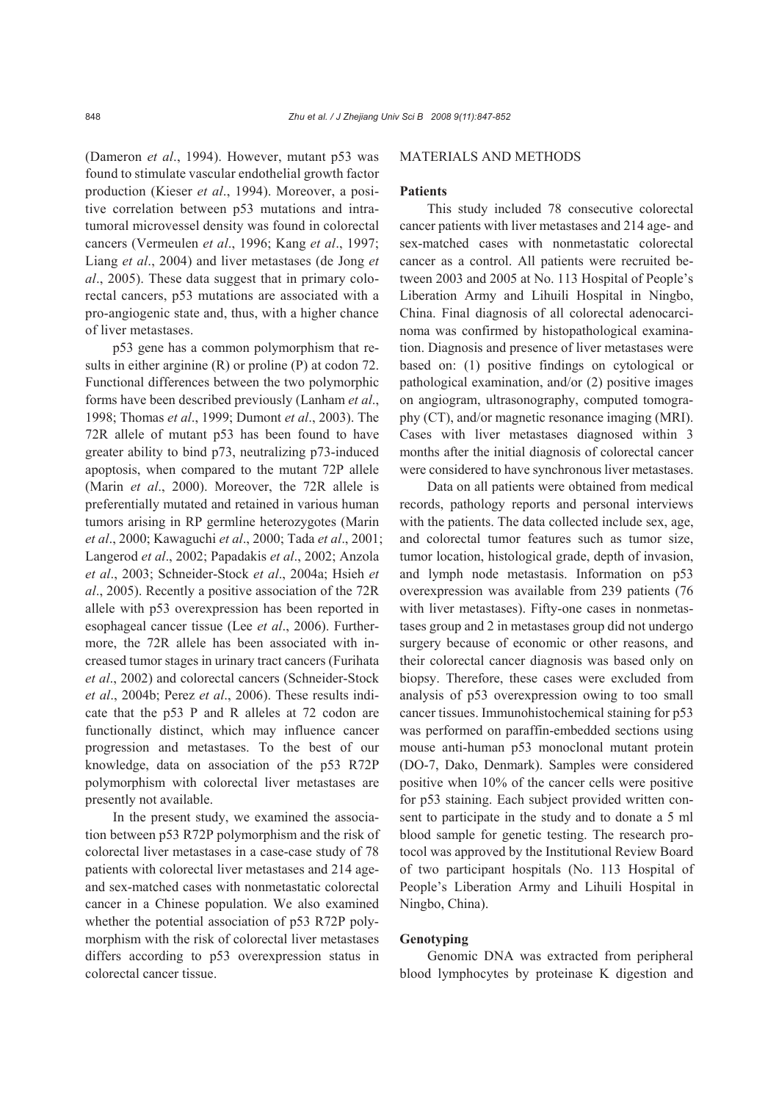(Dameron *et al*., 1994). However, mutant p53 was found to stimulate vascular endothelial growth factor production (Kieser *et al*., 1994). Moreover, a positive correlation between p53 mutations and intratumoral microvessel density was found in colorectal cancers (Vermeulen *et al*., 1996; Kang *et al*., 1997; Liang *et al*., 2004) and liver metastases (de Jong *et al*., 2005). These data suggest that in primary colorectal cancers, p53 mutations are associated with a pro-angiogenic state and, thus, with a higher chance of liver metastases.

p53 gene has a common polymorphism that results in either arginine (R) or proline (P) at codon 72. Functional differences between the two polymorphic forms have been described previously (Lanham *et al*., 1998; Thomas *et al*., 1999; Dumont *et al*., 2003). The 72R allele of mutant p53 has been found to have greater ability to bind p73, neutralizing p73-induced apoptosis, when compared to the mutant 72P allele (Marin *et al*., 2000). Moreover, the 72R allele is preferentially mutated and retained in various human tumors arising in RP germline heterozygotes (Marin *et al*., 2000; Kawaguchi *et al*., 2000; Tada *et al*., 2001; Langerod *et al*., 2002; Papadakis *et al*., 2002; Anzola *et al*., 2003; Schneider-Stock *et al*., 2004a; Hsieh *et al*., 2005). Recently a positive association of the 72R allele with p53 overexpression has been reported in esophageal cancer tissue (Lee *et al*., 2006). Furthermore, the 72R allele has been associated with increased tumor stages in urinary tract cancers (Furihata *et al*., 2002) and colorectal cancers (Schneider-Stock *et al*., 2004b; Perez *et al*., 2006). These results indicate that the p53 P and R alleles at 72 codon are functionally distinct, which may influence cancer progression and metastases. To the best of our knowledge, data on association of the p53 R72P polymorphism with colorectal liver metastases are presently not available.

In the present study, we examined the association between p53 R72P polymorphism and the risk of colorectal liver metastases in a case-case study of 78 patients with colorectal liver metastases and 214 ageand sex-matched cases with nonmetastatic colorectal cancer in a Chinese population. We also examined whether the potential association of p53 R72P polymorphism with the risk of colorectal liver metastases differs according to p53 overexpression status in colorectal cancer tissue.

## MATERIALS AND METHODS

#### **Patients**

This study included 78 consecutive colorectal cancer patients with liver metastases and 214 age- and sex-matched cases with nonmetastatic colorectal cancer as a control. All patients were recruited between 2003 and 2005 at No. 113 Hospital of People's Liberation Army and Lihuili Hospital in Ningbo, China. Final diagnosis of all colorectal adenocarcinoma was confirmed by histopathological examination. Diagnosis and presence of liver metastases were based on: (1) positive findings on cytological or pathological examination, and/or (2) positive images on angiogram, ultrasonography, computed tomography (CT), and/or magnetic resonance imaging (MRI). Cases with liver metastases diagnosed within 3 months after the initial diagnosis of colorectal cancer were considered to have synchronous liver metastases.

Data on all patients were obtained from medical records, pathology reports and personal interviews with the patients. The data collected include sex, age, and colorectal tumor features such as tumor size, tumor location, histological grade, depth of invasion, and lymph node metastasis. Information on p53 overexpression was available from 239 patients (76 with liver metastases). Fifty-one cases in nonmetastases group and 2 in metastases group did not undergo surgery because of economic or other reasons, and their colorectal cancer diagnosis was based only on biopsy. Therefore, these cases were excluded from analysis of p53 overexpression owing to too small cancer tissues. Immunohistochemical staining for p53 was performed on paraffin-embedded sections using mouse anti-human p53 monoclonal mutant protein (DO-7, Dako, Denmark). Samples were considered positive when 10% of the cancer cells were positive for p53 staining. Each subject provided written consent to participate in the study and to donate a 5 ml blood sample for genetic testing. The research protocol was approved by the Institutional Review Board of two participant hospitals (No. 113 Hospital of People's Liberation Army and Lihuili Hospital in Ningbo, China).

#### **Genotyping**

Genomic DNA was extracted from peripheral blood lymphocytes by proteinase K digestion and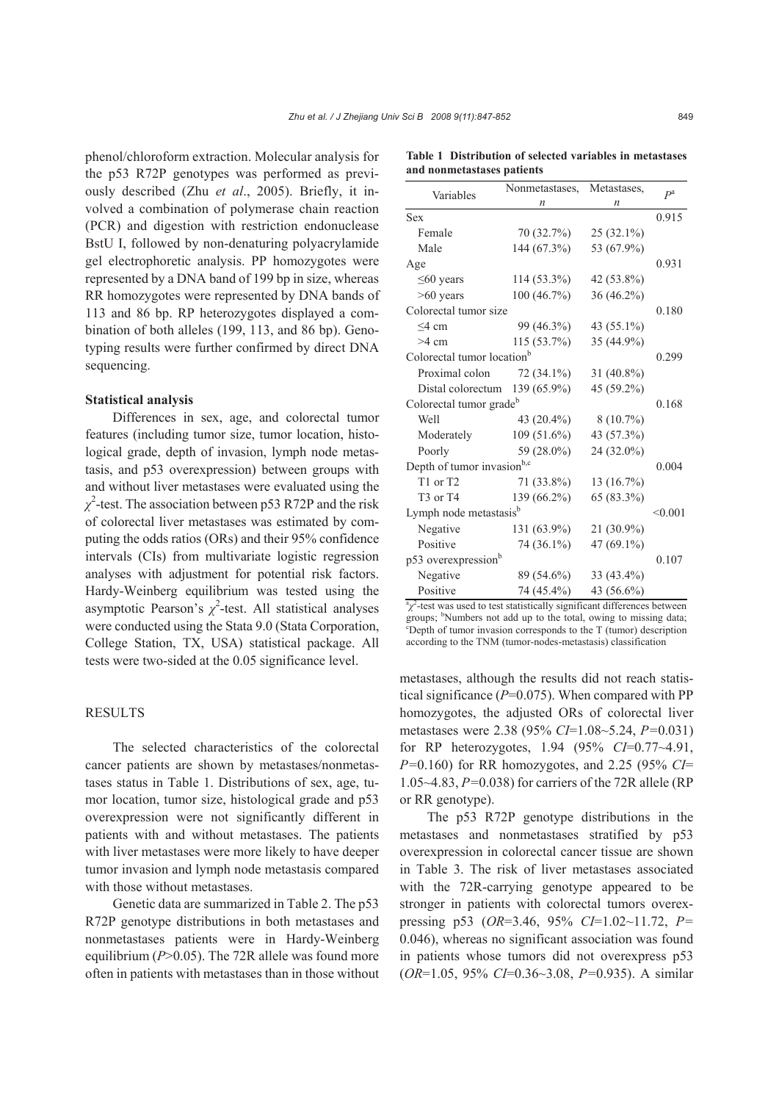phenol/chloroform extraction. Molecular analysis for the p53 R72P genotypes was performed as previously described (Zhu *et al*., 2005). Briefly, it involved a combination of polymerase chain reaction (PCR) and digestion with restriction endonuclease BstU I, followed by non-denaturing polyacrylamide gel electrophoretic analysis. PP homozygotes were represented by a DNA band of 199 bp in size, whereas RR homozygotes were represented by DNA bands of 113 and 86 bp. RP heterozygotes displayed a combination of both alleles (199, 113, and 86 bp). Genotyping results were further confirmed by direct DNA sequencing.

#### **Statistical analysis**

Differences in sex, age, and colorectal tumor features (including tumor size, tumor location, histological grade, depth of invasion, lymph node metastasis, and p53 overexpression) between groups with and without liver metastases were evaluated using the *χ* 2 -test. The association between p53 R72P and the risk of colorectal liver metastases was estimated by computing the odds ratios (ORs) and their 95% confidence intervals (CIs) from multivariate logistic regression analyses with adjustment for potential risk factors. Hardy-Weinberg equilibrium was tested using the asymptotic Pearson's  $\chi^2$ -test. All statistical analyses were conducted using the Stata 9.0 (Stata Corporation, College Station, TX, USA) statistical package. All tests were two-sided at the 0.05 significance level.

## **RESULTS**

The selected characteristics of the colorectal cancer patients are shown by metastases/nonmetastases status in Table 1. Distributions of sex, age, tumor location, tumor size, histological grade and p53 overexpression were not significantly different in patients with and without metastases. The patients with liver metastases were more likely to have deeper tumor invasion and lymph node metastasis compared with those without metastases.

Genetic data are summarized in Table 2. The p53 R72P genotype distributions in both metastases and nonmetastases patients were in Hardy-Weinberg equilibrium (*P*>0.05). The 72R allele was found more often in patients with metastases than in those without

|                                        | Nonmetastases, | Metastases,  | $P^a$ |  |
|----------------------------------------|----------------|--------------|-------|--|
| Variables                              | n              | n            |       |  |
| Sex                                    |                |              | 0.915 |  |
| Female                                 | 70 (32.7%)     | $25(32.1\%)$ |       |  |
| Male                                   | 144 (67.3%)    | 53 (67.9%)   |       |  |
| Age                                    |                |              | 0.931 |  |
| $\leq 60$ years                        | $114(53.3\%)$  | 42 (53.8%)   |       |  |
| $>60$ years                            | 100 (46.7%)    | 36 (46.2%)   |       |  |
| Colorectal tumor size                  |                |              |       |  |
| $<$ 4 cm                               | 99 (46.3%)     | 43 (55.1%)   |       |  |
| $>4$ cm                                | 115 (53.7%)    | 35 (44.9%)   |       |  |
| Colorectal tumor location <sup>b</sup> |                |              |       |  |
| Proximal colon                         | $72(34.1\%)$   | 31 (40.8%)   |       |  |
| Distal colorectum                      | 139 (65.9%)    | 45 (59.2%)   |       |  |
| Colorectal tumor grade <sup>b</sup>    |                |              |       |  |
| Well                                   | 43 (20.4%)     | $8(10.7\%)$  |       |  |
| Moderately                             | $109(51.6\%)$  | 43 (57.3%)   |       |  |
| Poorly                                 | 59 (28.0%)     | 24 (32.0%)   |       |  |
| Depth of tumor invasion <sup>b,c</sup> |                |              |       |  |
| T1 or T2                               | 71 (33.8%)     | 13 (16.7%)   |       |  |
| T <sub>3</sub> or T <sub>4</sub>       | 139 (66.2%)    | 65 (83.3%)   |       |  |
| Lymph node metastasis <sup>b</sup>     |                |              |       |  |
| Negative                               | 131 (63.9%)    | $21(30.9\%)$ |       |  |
| Positive                               | 74 (36.1%)     | 47 (69.1%)   |       |  |
| p53 overexpression <sup>b</sup>        |                |              |       |  |
| Negative                               | 89 (54.6%)     | $33(43.4\%)$ |       |  |
| Positive                               | 74 (45.4%)     | 43 (56.6%)   |       |  |

 $\alpha$ <sup>2</sup>-test was used to test statistically significant differences between groups;  $b$ Numbers not add up to the total, owing to missing data;<br> $c$ Nepth of tymer invesion corresponds to the  $T$  (tymer) description Depth of tumor invasion corresponds to the T (tumor) description

according to the TNM (tumor-nodes-metastasis) classification

metastases, although the results did not reach statistical significance (*P*=0.075). When compared with PP homozygotes, the adjusted ORs of colorectal liver metastases were 2.38 (95% *CI*=1.08~5.24, *P=*0.031) for RP heterozygotes, 1.94 (95% *CI*=0.77~4.91, *P=*0.160) for RR homozygotes, and 2.25 (95% *CI*= 1.05~4.83, *P=*0.038) for carriers of the 72R allele (RP or RR genotype).

The p53 R72P genotype distributions in the metastases and nonmetastases stratified by p53 overexpression in colorectal cancer tissue are shown in Table 3. The risk of liver metastases associated with the 72R-carrying genotype appeared to be stronger in patients with colorectal tumors overexpressing p53 (*OR*=3.46, 95% *CI*=1.02~11.72, *P=*  0.046), whereas no significant association was found in patients whose tumors did not overexpress p53 (*OR*=1.05, 95% *CI*=0.36~3.08, *P=*0.935). A similar

**Table 1 Distribution of selected variables in metastases and nonmetastases patients**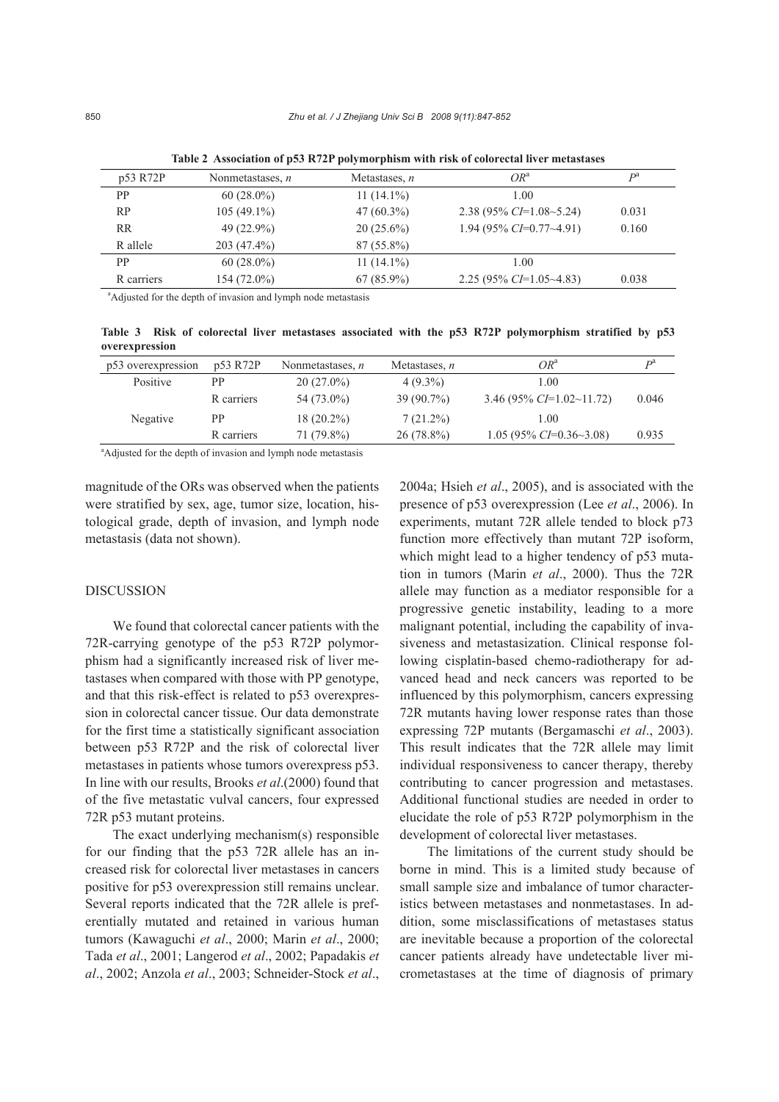| p53 R72P   | Nonmetastases, $n$ | Metastases, $n$ | $OR^a$                     | D <sup>d</sup> |
|------------|--------------------|-----------------|----------------------------|----------------|
| <b>PP</b>  | $60(28.0\%)$       | $11(14.1\%)$    | 1.00                       |                |
| <b>RP</b>  | $105(49.1\%)$      | $47(60.3\%)$    | 2.38 (95% $CI=1.08-5.24$ ) | 0.031          |
| <b>RR</b>  | 49 $(22.9\%)$      | $20(25.6\%)$    | 1.94 (95% $CI=0.77~4.91$ ) | 0.160          |
| R allele   | $203(47.4\%)$      | $87(55.8\%)$    |                            |                |
| <b>PP</b>  | $60(28.0\%)$       | $11(14.1\%)$    | 1.00                       |                |
| R carriers | $154(72.0\%)$      | $67(85.9\%)$    | 2.25 (95% $CI=1.05~4.83$ ) | 0.038          |
|            |                    |                 |                            |                |

**Table 2 Association of p53 R72P polymorphism with risk of colorectal liver metastases**

<sup>a</sup>Adjusted for the depth of invasion and lymph node metastasis

**Table 3 Risk of colorectal liver metastases associated with the p53 R72P polymorphism stratified by p53 overexpression**

| p53 overexpression | p53 R72P   | Nonmetastases, $n$ | Metastases, $n$ | $OR^a$                       | D <sup>a</sup> |
|--------------------|------------|--------------------|-----------------|------------------------------|----------------|
| Positive           | PP.        | $20(27.0\%)$       | $4(9.3\%)$      | 1.00                         |                |
|                    | R carriers | 54 (73.0%)         | $39(90.7\%)$    | 3.46 (95% CI=1.02~11.72)     | 0.046          |
| Negative           | <b>PP</b>  | $18(20.2\%)$       | $7(21.2\%)$     | 1.00                         |                |
|                    | R carriers | 71 (79.8%)         | $26(78.8\%)$    | $1.05(95\% CI=0.36\sim3.08)$ | 0.935          |

<sup>a</sup>Adjusted for the depth of invasion and lymph node metastasis

magnitude of the ORs was observed when the patients were stratified by sex, age, tumor size, location, histological grade, depth of invasion, and lymph node metastasis (data not shown).

#### DISCUSSION

We found that colorectal cancer patients with the 72R-carrying genotype of the p53 R72P polymorphism had a significantly increased risk of liver metastases when compared with those with PP genotype, and that this risk-effect is related to p53 overexpression in colorectal cancer tissue. Our data demonstrate for the first time a statistically significant association between p53 R72P and the risk of colorectal liver metastases in patients whose tumors overexpress p53. In line with our results, Brooks *et al*.(2000) found that of the five metastatic vulval cancers, four expressed 72R p53 mutant proteins.

The exact underlying mechanism(s) responsible for our finding that the p53 72R allele has an increased risk for colorectal liver metastases in cancers positive for p53 overexpression still remains unclear. Several reports indicated that the 72R allele is preferentially mutated and retained in various human tumors (Kawaguchi *et al*., 2000; Marin *et al*., 2000; Tada *et al*., 2001; Langerod *et al*., 2002; Papadakis *et al*., 2002; Anzola *et al*., 2003; Schneider-Stock *et al*.,

2004a; Hsieh *et al*., 2005), and is associated with the presence of p53 overexpression (Lee *et al*., 2006). In experiments, mutant 72R allele tended to block p73 function more effectively than mutant 72P isoform, which might lead to a higher tendency of p53 mutation in tumors (Marin *et al*., 2000). Thus the 72R allele may function as a mediator responsible for a progressive genetic instability, leading to a more malignant potential, including the capability of invasiveness and metastasization. Clinical response following cisplatin-based chemo-radiotherapy for advanced head and neck cancers was reported to be influenced by this polymorphism, cancers expressing 72R mutants having lower response rates than those expressing 72P mutants (Bergamaschi *et al*., 2003). This result indicates that the 72R allele may limit individual responsiveness to cancer therapy, thereby contributing to cancer progression and metastases. Additional functional studies are needed in order to elucidate the role of p53 R72P polymorphism in the development of colorectal liver metastases.

The limitations of the current study should be borne in mind. This is a limited study because of small sample size and imbalance of tumor characteristics between metastases and nonmetastases. In addition, some misclassifications of metastases status are inevitable because a proportion of the colorectal cancer patients already have undetectable liver micrometastases at the time of diagnosis of primary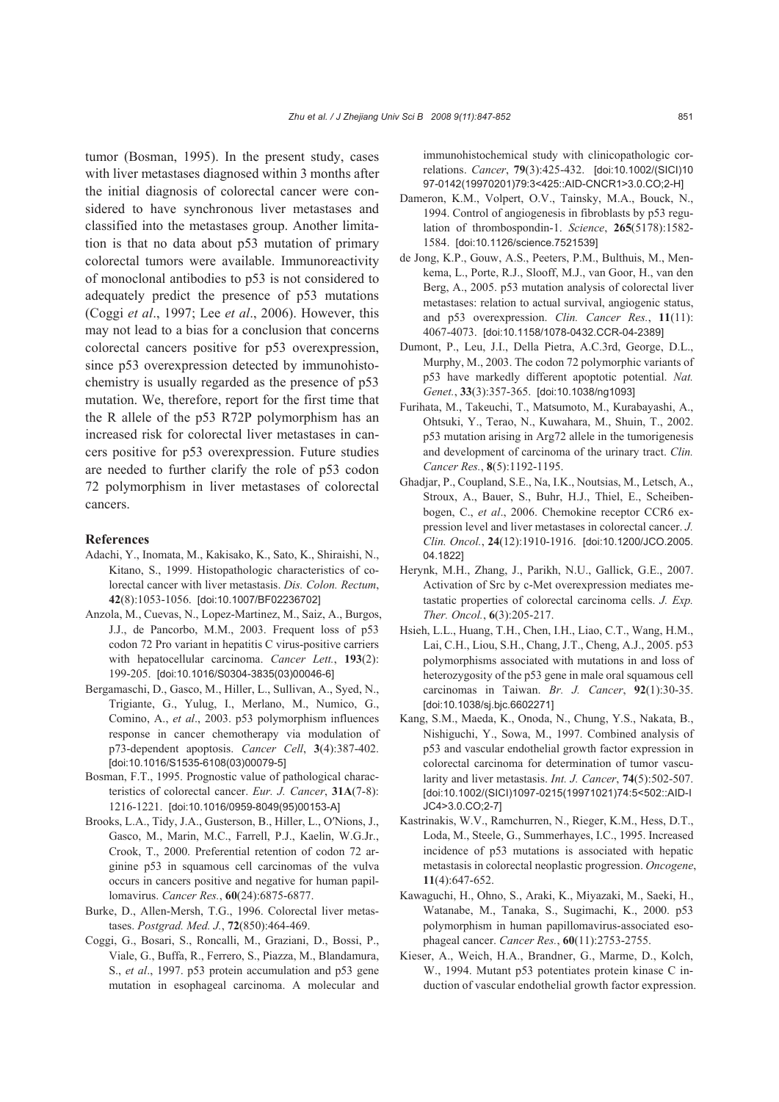tumor (Bosman, 1995). In the present study, cases with liver metastases diagnosed within 3 months after the initial diagnosis of colorectal cancer were considered to have synchronous liver metastases and classified into the metastases group. Another limitation is that no data about p53 mutation of primary colorectal tumors were available. Immunoreactivity of monoclonal antibodies to p53 is not considered to adequately predict the presence of p53 mutations (Coggi *et al*., 1997; Lee *et al*., 2006). However, this may not lead to a bias for a conclusion that concerns colorectal cancers positive for p53 overexpression, since p53 overexpression detected by immunohistochemistry is usually regarded as the presence of p53 mutation. We, therefore, report for the first time that the R allele of the p53 R72P polymorphism has an increased risk for colorectal liver metastases in cancers positive for p53 overexpression. Future studies are needed to further clarify the role of p53 codon 72 polymorphism in liver metastases of colorectal cancers.

#### **References**

- Adachi, Y., Inomata, M., Kakisako, K., Sato, K., Shiraishi, N., Kitano, S., 1999. Histopathologic characteristics of colorectal cancer with liver metastasis. *Dis. Colon. Rectum*, **42**(8):1053-1056. [doi:10.1007/BF02236702]
- Anzola, M., Cuevas, N., Lopez-Martinez, M., Saiz, A., Burgos, J.J., de Pancorbo, M.M., 2003. Frequent loss of p53 codon 72 Pro variant in hepatitis C virus-positive carriers with hepatocellular carcinoma. *Cancer Lett.*, **193**(2): 199-205. [doi:10.1016/S0304-3835(03)00046-6]
- Bergamaschi, D., Gasco, M., Hiller, L., Sullivan, A., Syed, N., Trigiante, G., Yulug, I., Merlano, M., Numico, G., Comino, A., *et al*., 2003. p53 polymorphism influences response in cancer chemotherapy via modulation of p73-dependent apoptosis. *Cancer Cell*, **3**(4):387-402. [doi:10.1016/S1535-6108(03)00079-5]
- Bosman, F.T., 1995. Prognostic value of pathological characteristics of colorectal cancer. *Eur. J. Cancer*, **31A**(7-8): 1216-1221. [doi:10.1016/0959-8049(95)00153-A]
- Brooks, L.A., Tidy, J.A., Gusterson, B., Hiller, L., O′Nions, J., Gasco, M., Marin, M.C., Farrell, P.J., Kaelin, W.G.Jr., Crook, T., 2000. Preferential retention of codon 72 arginine p53 in squamous cell carcinomas of the vulva occurs in cancers positive and negative for human papillomavirus. *Cancer Res.*, **60**(24):6875-6877.
- Burke, D., Allen-Mersh, T.G., 1996. Colorectal liver metastases. *Postgrad. Med. J.*, **72**(850):464-469.
- Coggi, G., Bosari, S., Roncalli, M., Graziani, D., Bossi, P., Viale, G., Buffa, R., Ferrero, S., Piazza, M., Blandamura, S., *et al*., 1997. p53 protein accumulation and p53 gene mutation in esophageal carcinoma. A molecular and

immunohistochemical study with clinicopathologic correlations. *Cancer*, **79**(3):425-432. [doi:10.1002/(SICI)10 97-0142(19970201)79:3<425::AID-CNCR1>3.0.CO;2-H]

- Dameron, K.M., Volpert, O.V., Tainsky, M.A., Bouck, N., 1994. Control of angiogenesis in fibroblasts by p53 regulation of thrombospondin-1. *Science*, **265**(5178):1582- 1584. [doi:10.1126/science.7521539]
- de Jong, K.P., Gouw, A.S., Peeters, P.M., Bulthuis, M., Menkema, L., Porte, R.J., Slooff, M.J., van Goor, H., van den Berg, A., 2005. p53 mutation analysis of colorectal liver metastases: relation to actual survival, angiogenic status, and p53 overexpression. *Clin. Cancer Res.*, **11**(11): 4067-4073. [doi:10.1158/1078-0432.CCR-04-2389]
- Dumont, P., Leu, J.I., Della Pietra, A.C.3rd, George, D.L., Murphy, M., 2003. The codon 72 polymorphic variants of p53 have markedly different apoptotic potential. *Nat. Genet.*, **33**(3):357-365. [doi:10.1038/ng1093]
- Furihata, M., Takeuchi, T., Matsumoto, M., Kurabayashi, A., Ohtsuki, Y., Terao, N., Kuwahara, M., Shuin, T., 2002. p53 mutation arising in Arg72 allele in the tumorigenesis and development of carcinoma of the urinary tract. *Clin. Cancer Res.*, **8**(5):1192-1195.
- Ghadjar, P., Coupland, S.E., Na, I.K., Noutsias, M., Letsch, A., Stroux, A., Bauer, S., Buhr, H.J., Thiel, E., Scheibenbogen, C., *et al*., 2006. Chemokine receptor CCR6 expression level and liver metastases in colorectal cancer. *J. Clin. Oncol.*, **24**(12):1910-1916. [doi:10.1200/JCO.2005. 04.1822]
- Herynk, M.H., Zhang, J., Parikh, N.U., Gallick, G.E., 2007. Activation of Src by c-Met overexpression mediates metastatic properties of colorectal carcinoma cells. *J. Exp. Ther. Oncol.*, **6**(3):205-217.
- Hsieh, L.L., Huang, T.H., Chen, I.H., Liao, C.T., Wang, H.M., Lai, C.H., Liou, S.H., Chang, J.T., Cheng, A.J., 2005. p53 polymorphisms associated with mutations in and loss of heterozygosity of the p53 gene in male oral squamous cell carcinomas in Taiwan. *Br. J. Cancer*, **92**(1):30-35. [doi:10.1038/sj.bjc.6602271]
- Kang, S.M., Maeda, K., Onoda, N., Chung, Y.S., Nakata, B., Nishiguchi, Y., Sowa, M., 1997. Combined analysis of p53 and vascular endothelial growth factor expression in colorectal carcinoma for determination of tumor vascularity and liver metastasis. *Int. J. Cancer*, **74**(5):502-507. [doi:10.1002/(SICI)1097-0215(19971021)74:5<502::AID-I JC4>3.0.CO;2-7]
- Kastrinakis, W.V., Ramchurren, N., Rieger, K.M., Hess, D.T., Loda, M., Steele, G., Summerhayes, I.C., 1995. Increased incidence of p53 mutations is associated with hepatic metastasis in colorectal neoplastic progression. *Oncogene*, **11**(4):647-652.
- Kawaguchi, H., Ohno, S., Araki, K., Miyazaki, M., Saeki, H., Watanabe, M., Tanaka, S., Sugimachi, K., 2000. p53 polymorphism in human papillomavirus-associated esophageal cancer. *Cancer Res.*, **60**(11):2753-2755.
- Kieser, A., Weich, H.A., Brandner, G., Marme, D., Kolch, W., 1994. Mutant p53 potentiates protein kinase C induction of vascular endothelial growth factor expression.